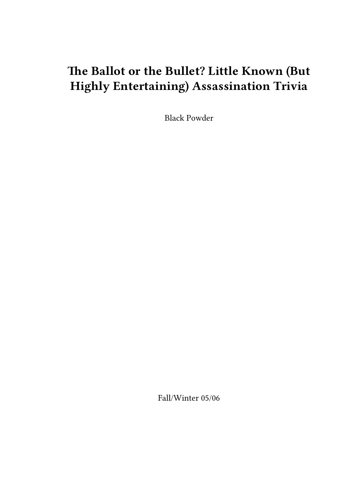# **The Ballot or the Bullet? Little Known (But Highly Entertaining) Assassination Trivia**

Black Powder

Fall/Winter 05/06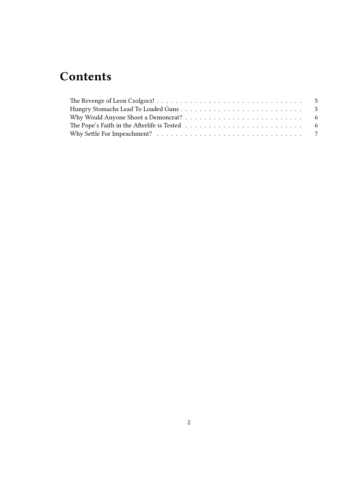## **Contents**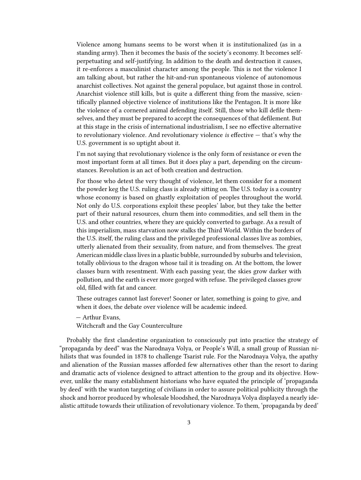Violence among humans seems to be worst when it is institutionalized (as in a standing army). Then it becomes the basis of the society's economy. It becomes selfperpetuating and self-justifying. In addition to the death and destruction it causes, it re-enforces a masculinist character among the people. This is not the violence I am talking about, but rather the hit-and-run spontaneous violence of autonomous anarchist collectives. Not against the general populace, but against those in control. Anarchist violence still kills, but is quite a different thing from the massive, scientifically planned objective violence of institutions like the Pentagon. It is more like the violence of a cornered animal defending itself. Still, those who kill defile themselves, and they must be prepared to accept the consequences of that defilement. But at this stage in the crisis of international industrialism, I see no effective alternative to revolutionary violence. And revolutionary violence *is* effective — that's why the U.S. government is so uptight about it.

I'm not saying that revolutionary violence is the only form of resistance or even the most important form at all times. But it does play a part, depending on the circumstances. Revolution is an act of both creation and destruction.

For those who detest the very thought of violence, let them consider for a moment the powder keg the U.S. ruling class is already sitting on. The U.S. today is a country whose economy is based on ghastly exploitation of peoples throughout the world. Not only do U.S. corporations exploit these peoples' labor, but they take the better part of their natural resources, churn them into commodities, and sell them in the U.S. and other countries, where they are quickly converted to garbage. As a result of this imperialism, mass starvation now stalks the Third World. Within the borders of the U.S. itself, the ruling class and the privileged professional classes live as zombies, utterly alienated from their sexuality, from nature, and from themselves. The great American middle class lives in a plastic bubble, surrounded by suburbs and television, totally oblivious to the dragon whose tail it is treading on. At the bottom, the lower classes burn with resentment. With each passing year, the skies grow darker with pollution, and the earth is ever more gorged with refuse. The privileged classes grow old, filled with fat and cancer.

These outrages cannot last forever! Sooner or later, something is going to give, and when it does, the debate over violence will be academic indeed.

— Arthur Evans,

Witchcraft and the Gay Counterculture

Probably the first clandestine organization to consciously put into practice the strategy of "propaganda by deed" was the Narodnaya Volya, or People's Will, a small group of Russian nihilists that was founded in 1878 to challenge Tsarist rule. For the Narodnaya Volya, the apathy and alienation of the Russian masses afforded few alternatives other than the resort to daring and dramatic acts of violence designed to attract attention to the group and its objective. However, unlike the many establishment historians who have equated the principle of 'propaganda by deed' with the wanton targeting of civilians in order to assure political publicity through the shock and horror produced by wholesale bloodshed, the Narodnaya Volya displayed a nearly idealistic attitude towards their utilization of revolutionary violence. To them, 'propaganda by deed'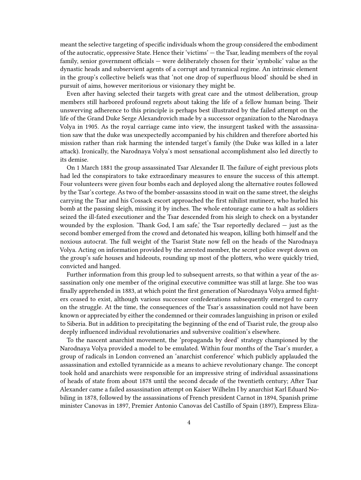meant the selective targeting of specific individuals whom the group considered the embodiment of the autocratic, oppressive State. Hence their 'victims' — the Tsar, leading members of the royal family, senior government officials — were deliberately chosen for their 'symbolic' value as the dynastic heads and subservient agents of a corrupt and tyrannical regime. An intrinsic element in the group's collective beliefs was that 'not one drop of superfluous blood' should be shed in pursuit of aims, however meritorious or visionary they might be.

Even after having selected their targets with great care and the utmost deliberation, group members still harbored profound regrets about taking the life of a fellow human being. Their unswerving adherence to this principle is perhaps best illustrated by the failed attempt on the life of the Grand Duke Serge Alexandrovich made by a successor organization to the Narodnaya Volya in 1905. As the royal carriage came into view, the insurgent tasked with the assassination saw that the duke was unexpectedly accompanied by his children and therefore aborted his mission rather than risk harming the intended target's family (the Duke was killed in a later attack). Ironically, the Narodnaya Volya's most sensational accomplishment also led directly to its demise.

On 1 March 1881 the group assassinated Tsar Alexander II. The failure of eight previous plots had led the conspirators to take extraordinary measures to ensure the success of this attempt. Four volunteers were given four bombs each and deployed along the alternative routes followed by the Tsar's cortege. As two of the bomber-assassins stood in wait on the same street, the sleighs carrying the Tsar and his Cossack escort approached the first nihilist mutineer, who hurled his bomb at the passing sleigh, missing it by inches. The whole entourage came to a halt as soldiers seized the ill-fated executioner and the Tsar descended from his sleigh to check on a bystander wounded by the explosion. 'Thank God, I am safe,' the Tsar reportedly declared  $-$  just as the second bomber emerged from the crowd and detonated his weapon, killing both himself and the noxious autocrat. The full weight of the Tsarist State now fell on the heads of the Narodnaya Volya. Acting on information provided by the arrested member, the secret police swept down on the group's safe houses and hideouts, rounding up most of the plotters, who were quickly tried, convicted and hanged.

Further information from this group led to subsequent arrests, so that within a year of the assassination only one member of the original executive committee was still at large. She too was finally apprehended in 1883, at which point the first generation of Narodnaya Volya armed fighters ceased to exist, although various successor confederations subsequently emerged to carry on the struggle. At the time, the consequences of the Tsar's assassination could not have been known or appreciated by either the condemned or their comrades languishing in prison or exiled to Siberia. But in addition to precipitating the beginning of the end of Tsarist rule, the group also deeply influenced individual revolutionaries and subversive coalition's elsewhere.

To the nascent anarchist movement, the 'propaganda by deed' strategy championed by the Narodnaya Volya provided a model to be emulated. Within four months of the Tsar's murder, a group of radicals in London convened an 'anarchist conference' which publicly applauded the assassination and extolled tyrannicide as a means to achieve revolutionary change. The concept took hold and anarchists were responsible for an impressive string of individual assassinations of heads of state from about 1878 until the second decade of the twentieth century; After Tsar Alexander came a failed assassination attempt on Kaiser Wilhelm I by anarchist Karl Eduard Nobiling in 1878, followed by the assassinations of French president Carnot in 1894, Spanish prime minister Canovas in 1897, Premier Antonio Canovas del Castillo of Spain (1897), Empress Eliza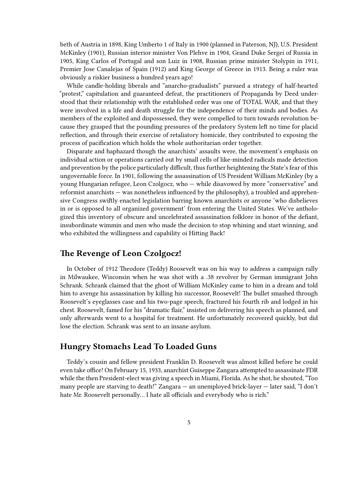beth of Austria in 1898, King Umberto 1 of Italy in 1900 (planned in Paterson, NJ), U.S. President McKinley (1901), Russian interior minister Von Plehve in 1904, Grand Duke Sergei of Russia in 1905, King Carlos of Portugal and son Luiz in 1908, Russian prime minister Stolypin in 1911, Premier Jose Canalejas of Spain (1912) and King George of Greece in 1913. Being a ruler was obviously a riskier business a hundred years ago!

While candle-holding liberals and "anarcho-gradualists" pursued a strategy of half-hearted "protest," capitulation and guaranteed defeat, the practitioners of Propaganda by Deed understood that their relationship with the established order was one of TOTAL WAR, and that they were involved in a life and death struggle for the independence of their minds and bodies. As members of the exploited and dispossessed, they were compelled to turn towards revolution because they grasped that the pounding pressures of the predatory System left no time for placid reflection, and through their exercise of retaliatory homicide, they contributed to exposing the process of pacification which holds the whole authoritarian order together.

Disparate and haphazard though the anarchists' assaults were, the movement's emphasis on individual action or operations carried out by small cells of like-minded radicals made detection and prevention by the police particularly difficult, thus further heightening the State's fear of this ungovernable force. In 1901, following the assassination of US President William McKinley (by a young Hungarian refugee, Leon Czolgocz, who — while disavowed by more "conservative" and reformist anarchists — was nonetheless influenced by the philosophy), a troubled and apprehensive Congress swiftly enacted legislation barring known anarchists or anyone 'who disbelieves in or is opposed to all organized government' from entering the United States. We've anthologized this inventory of obscure and uncelebrated assassination folklore in honor of the defiant, insubordinate wimmin and men who made the decision to stop whining and start winning, and who exhibited the willingness and capability oi Hitting Back!

## <span id="page-4-0"></span>**The Revenge of Leon Czolgocz!**

In October of 1912 Theodore (Teddy) Roosevelt was on his way to address a campaign rally in Milwaukee, Wisconsin when he was shot with a .38 revolver by German immigrant John Schrank. Schrank claimed that the ghost of William McKinley came to him in a dream and told him to avenge his assassination by killing his successor, Roosevelt! The bullet smashed through Roosevelt's eyeglasses case and his two-page speech, fractured his fourth rib and lodged in his chest. Roosevelt, famed for his "dramatic flair," insisted on delivering his speech as planned, and only afterwards went to a hospital for treatment. He unfortunately recovered quickly, but did lose the election. Schrank was sent to an insane asylum.

## <span id="page-4-1"></span>**Hungry Stomachs Lead To Loaded Guns**

Teddy's cousin and fellow president Franklin D. Roosevelt was almost killed before he could even take office! On February 15, 1933, anarchist Guiseppe Zangara attempted to assassinate FDR while the then President-elect was giving a speech in Miami, Florida. As he shot, he shouted, "Too many people are starving to death!" Zangara — an unemployed brick-layer — later said, "I don't hate Mr. Roosevelt personally... I hate all officials and everybody who is rich."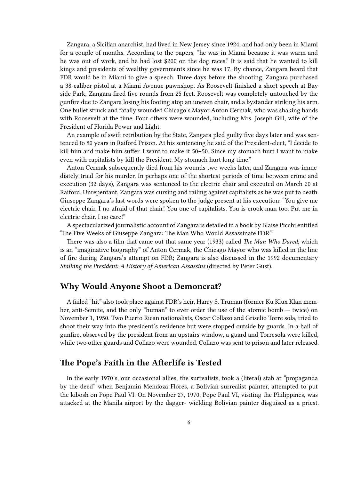Zangara, a Sicilian anarchist, had lived in New Jersey since 1924, and had only been in Miami for a couple of months. According to the papers, "he was in Miami because it was warm and he was out of work, and he had lost \$200 on the dog races." It is said that he wanted to kill kings and presidents of wealthy governments since he was 17. By chance, Zangara heard that FDR would be in Miami to give a speech. Three days before the shooting, Zangara purchased a 38-caliber pistol at a Miami Avenue pawnshop. As Roosevelt finished a short speech at Bay side Park, Zangara fired five rounds from 25 feet. Roosevelt was completely untouched by the gunfire due to Zangara losing his footing atop an uneven chair, and a bystander striking his arm. One bullet struck and fatally wounded Chicago's Mayor Anton Cermak, who was shaking hands with Roosevelt at the time. Four others were wounded, including Mrs. Joseph Gill, wife of the President of Florida Power and Light.

An example of swift retribution by the State, Zangara pled guilty five days later and was sentenced to 80 years in Raiford Prison. At his sentencing he said of the President-elect, "I decide to kill him and make him suffer. I want to make it 50–50. Since my stomach hurt I want to make even with capitalists by kill the President. My stomach hurt long time."

Anton Cermak subsequently died from his wounds two weeks later, and Zangara was immediately tried for his murder. In perhaps one of the shortest periods of time between crime and execution (32 days), Zangara was sentenced to the electric chair and executed on March 20 at Raiford. Unrepentant, Zangara was cursing and railing against capitalists as he was put to death. Giuseppe Zangara's last words were spoken to the judge present at his execution: "You give me electric chair. I no afraid of that chair! You one of capitalists. You is crook man too. Put me in electric chair. I no care!"

A spectacularized journalistic account of Zangara is detailed in a book by Blaise Picchi entitled "The Five Weeks of Giuseppe Zangara: The Man Who Would Assassinate FDR."

There was also a film that came out that same year (1933) called *The Man Who Dared*, which is an "imaginative biography" of Anton Cermak, the Chicago Mayor who was killed in the line of fire during Zangara's attempt on FDR; Zangara is also discussed in the 1992 documentary *Stalking the President: A History of American Assassins* (directed by Peter Gust).

### <span id="page-5-0"></span>**Why Would Anyone Shoot a Demoncrat?**

A failed "hit" also took place against FDR's heir, Harry S. Truman (former Ku Klux Klan member, anti-Semite, and the only "human" to ever order the use of the atomic bomb — twice) on November 1, 1950. Two Puerto Rican nationalists, Oscar Collazo and Griselio Torre sola, tried to shoot their way into the president's residence but were stopped outside by guards. In a hail of gunfire, observed by the president from an upstairs window, a guard and Torresola were killed, while two other guards and Collazo were wounded. Collazo was sent to prison and later released.

## <span id="page-5-1"></span>**The Pope's Faith in the Afterlife is Tested**

In the early 1970's, our occasional allies, the surrealists, took a (literal) stab at "propaganda by the deed" when Benjamin Mendoza Flores, a Bolivian surrealist painter, attempted to put the kibosh on Pope Paul VI. On November 27, 1970, Pope Paul VI, visiting the Philippines, was attacked at the Manila airport by the dagger- wielding Bolivian painter disguised as a priest.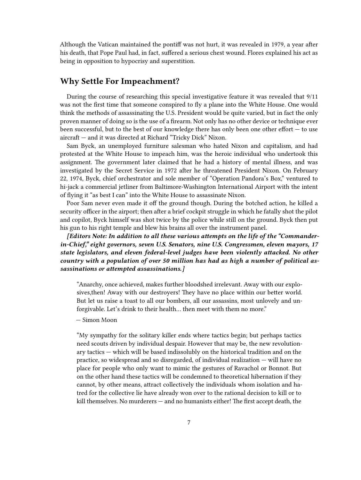Although the Vatican maintained the pontiff was not hurt, it was revealed in 1979, a year after his death, that Pope Paul had, in fact, suffered a serious chest wound. Flores explained his act as being in opposition to hypocrisy and superstition.

## <span id="page-6-0"></span>**Why Settle For Impeachment?**

During the course of researching this special investigative feature it was revealed that 9/11 was not the first time that someone conspired to fly a plane into the White House. One would think the methods of assassinating the U.S. President would be quite varied, but in fact the only proven manner of doing so is the use of a firearm. Not only has no other device or technique ever been successful, but to the best of our knowledge there has only been one other effort — to use aircraft — and it was directed at Richard "Tricky Dick" Nixon.

Sam Byck, an unemployed furniture salesman who hated Nixon and capitalism, and had protested at the White House to impeach him, was the heroic individual who undertook this assignment. The government later claimed that he had a history of mental illness, and was investigated by the Secret Service in 1972 after he threatened President Nixon. On February 22, 1974, Byck, chief orchestrator and sole member of "Operation Pandora's Box," ventured to hi-jack a commercial jetliner from Baltimore-Washington International Airport with the intent of flying it "as best I can" into the White House to assassinate Nixon.

Poor Sam never even made it off the ground though. During the botched action, he killed a security officer in the airport; then after a brief cockpit struggle in which he fatally shot the pilot and copilot, Byck himself was shot twice by the police while still on the ground. Byck then put his gun to his right temple and blew his brains all over the instrument panel.

*[Editors Note: In addition to all these various attempts on the life of the "Commanderin-Chief," eight governors, seven U.S. Senators, nine U.S. Congressmen, eleven mayors, 17 state legislators, and eleven federal-level judges have been violently attacked. No other country with a population of over 50 million has had as high a number of political assassinations or attempted assassinations.]*

"Anarchy, once achieved, makes further bloodshed irrelevant. Away with our explosives,then! Away with our destroyers! They have no place within our better world. But let us raise a toast to all our bombers, all our assassins, most unlovely and unforgivable. Let's drink to their health… then meet with them no more."

— Simon Moon

"My sympathy for the solitary killer ends where tactics begin; but perhaps tactics need scouts driven by individual despair. However that may be, the new revolutionary tactics — which will be based indissolubly on the historical tradition and on the practice, so widespread and so disregarded, of individual realization — will have no place for people who only want to mimic the gestures of Ravachol or Bonnot. But on the other hand these tactics will be condemned to theoretical hibernation if they cannot, by other means, attract collectively the individuals whom isolation and hatred for the collective lie have already won over to the rational decision to kill or to kill themselves. No murderers — and no humanists either! The first accept death, the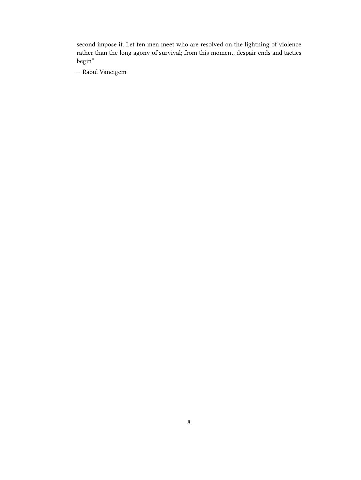second impose it. Let ten men meet who are resolved on the lightning of violence rather than the long agony of survival; from this moment, despair ends and tactics begin"

— Raoul Vaneigem